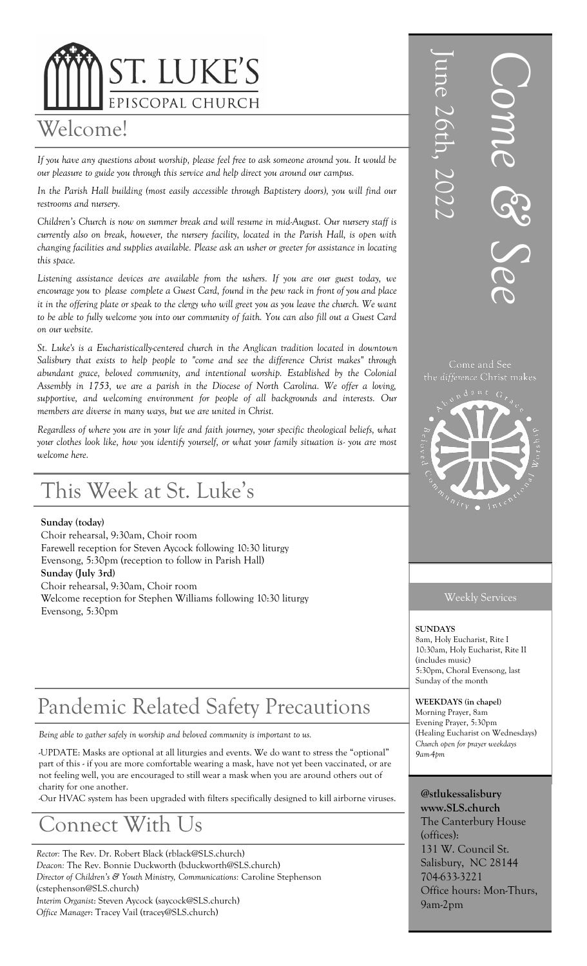# ST. LUKE'S EPISCOPAL CHURCH

### Welcome!

*If you have any questions about worship, please feel free to ask someone around you. It would be our pleasure to guide you through this service and help direct you around our campus.* 

*In the Parish Hall building (most easily accessible through Baptistery doors), you will find our restrooms and nursery.* 

*Children's Church is now on summer break and will resume in mid-August. Our nursery staff is currently also on break, however, the nursery facility, located in the Parish Hall, is open with changing facilities and supplies available. Please ask an usher or greeter for assistance in locating this space.* 

*Listening assistance devices are available from the ushers. If you are our guest today, we encourage you* to *please complete a Guest Card, found in the pew rack in front of you and place it in the offering plate or speak to the clergy who will greet you as you leave the church. We want to be able to fully welcome you into our community of faith. You can also fill out a Guest Card on our website.*

*St. Luke's is a Eucharistically-centered church in the Anglican tradition located in downtown Salisbury that exists to help people to "come and see the difference Christ makes" through abundant grace, beloved community, and intentional worship. Established by the Colonial Assembly in 1753, we are a parish in the Diocese of North Carolina. We offer a loving, supportive, and welcoming environment for people of all backgrounds and interests. Our members are diverse in many ways, but we are united in Christ.* 

*Regardless of where you are in your life and faith journey, your specific theological beliefs, what your clothes look like, how you identify yourself, or what your family situation is- you are most welcome here.*

## This Week at St. Luke's

#### **Sunday (today)**

Choir rehearsal, 9:30am, Choir room Farewell reception for Steven Aycock following 10:30 liturgy Evensong, 5:30pm (reception to follow in Parish Hall) **Sunday (July 3rd)** Choir rehearsal, 9:30am, Choir room Welcome reception for Stephen Williams following 10:30 liturgy Evensong, 5:30pm

## Pandemic Related Safety Precautions

*Being able to gather safely in worship and beloved community is important to us.* 

-UPDATE: Masks are optional at all liturgies and events. We do want to stress the "optional" part of this - if you are more comfortable wearing a mask, have not yet been vaccinated, or are not feeling well, you are encouraged to still wear a mask when you are around others out of charity for one another.

-Our HVAC system has been upgraded with filters specifically designed to kill airborne viruses.

## onnect With

*Rector:* The Rev. Dr. Robert Black (rblack@SLS.church) *Deacon:* The Rev. Bonnie Duckworth (bduckworth@SLS.church) *Director of Children's & Youth Ministry, Communications:* Caroline Stephenson (cstephenson@SLS.church) *Interim Organist*: Steven Aycock (saycock@SLS.church) *Office Manager*: Tracey Vail (tracey@SLS.church)



#### Weekly Services

**SUNDAYS**  8am, Holy Eucharist, Rite I 10:30am, Holy Eucharist, Rite II (includes music) 5:30pm, Choral Evensong, last Sunday of the month

**WEEKDAYS (in chapel)** Morning Prayer, 8am Evening Prayer, 5:30pm (Healing Eucharist on Wednesdays) *Church open for prayer weekdays 9am-4pm*

**@stlukessalisbury www.SLS.church** The Canterbury House (offices): 131 W. Council St. Salisbury, NC 28144 704-633-3221 Office hours: Mon-Thurs, 9am-2pm